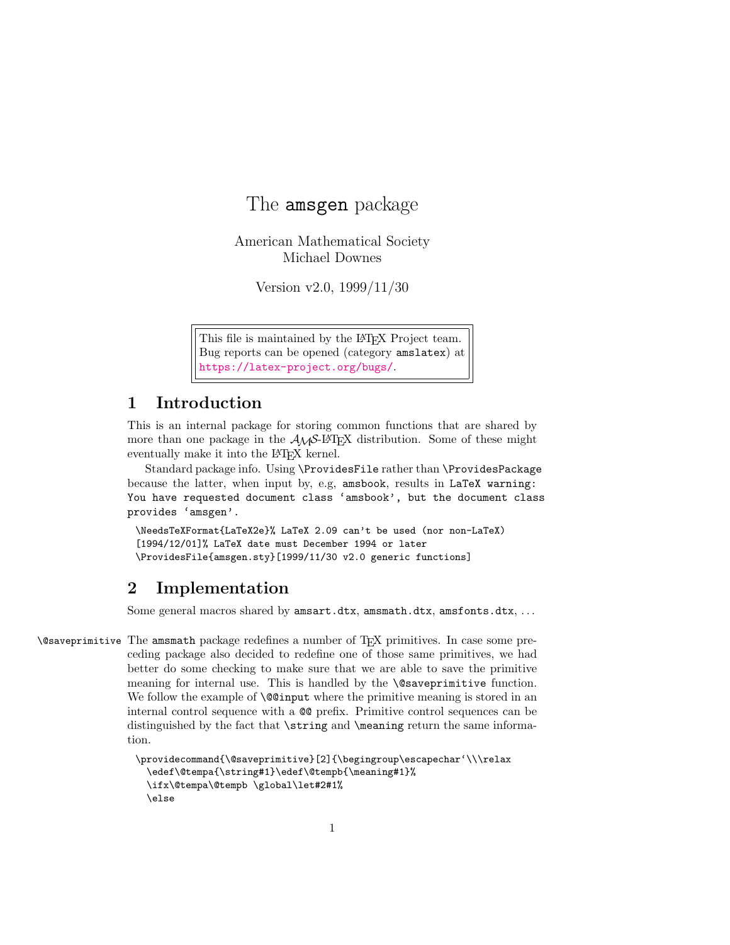# The amsgen package

American Mathematical Society Michael Downes

Version v2.0, 1999/11/30

This file is maintained by the L<sup>AT</sup>EX Project team. Bug reports can be opened (category amslatex) at <https://latex-project.org/bugs/>.

### 1 Introduction

This is an internal package for storing common functions that are shared by more than one package in the  $A_{\mathcal{M}}S$ -L<sup>AT</sup>EX distribution. Some of these might eventually make it into the L<sup>AT</sup>EX kernel.

Standard package info. Using \ProvidesFile rather than \ProvidesPackage because the latter, when input by, e.g, amsbook, results in LaTeX warning: You have requested document class 'amsbook', but the document class provides 'amsgen'.

\NeedsTeXFormat{LaTeX2e}% LaTeX 2.09 can't be used (nor non-LaTeX) [1994/12/01]% LaTeX date must December 1994 or later \ProvidesFile{amsgen.sty}[1999/11/30 v2.0 generic functions]

## 2 Implementation

Some general macros shared by amsart.dtx, amsmath.dtx, amsfonts.dtx, . . .

\@saveprimitive The amsmath package redefines a number of TEX primitives. In case some preceding package also decided to redefine one of those same primitives, we had better do some checking to make sure that we are able to save the primitive meaning for internal use. This is handled by the **\@saveprimitive** function. We follow the example of **\@@input** where the primitive meaning is stored in an internal control sequence with a @@ prefix. Primitive control sequences can be distinguished by the fact that \string and \meaning return the same information.

```
\providecommand{\@saveprimitive}[2]{\begingroup\escapechar'\\\relax
 \edef\@tempa{\string#1}\edef\@tempb{\meaning#1}%
 \ifx\@tempa\@tempb \global\let#2#1%
 \else
```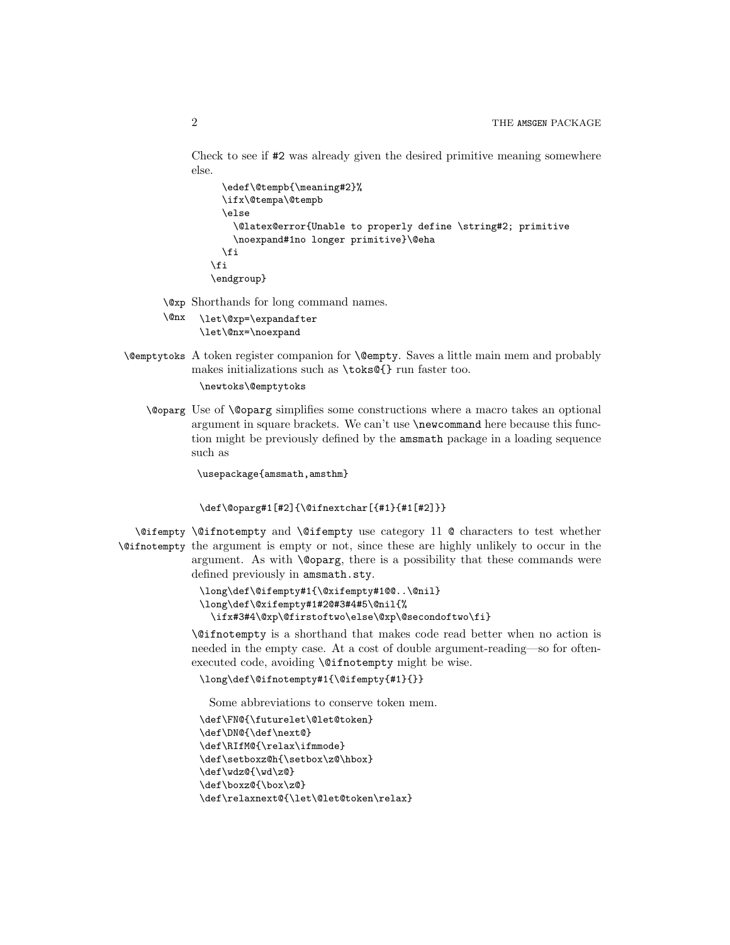Check to see if #2 was already given the desired primitive meaning somewhere else.

```
\edef\@tempb{\meaning#2}%
  \ifx\@tempa\@tempb
  \else
    \@latex@error{Unable to properly define \string#2; primitive
    \noexpand#1no longer primitive}\@eha
  \fi
\fi
\endgroup}
```
\@xp Shorthands for long command names.

```
\@nx
      \let\@xp=\expandafter
      \let\@nx=\noexpand
```
\@emptytoks A token register companion for \@empty. Saves a little main mem and probably makes initializations such as \toks@{} run faster too.

\newtoks\@emptytoks

\@oparg Use of \@oparg simplifies some constructions where a macro takes an optional argument in square brackets. We can't use \newcommand here because this function might be previously defined by the amsmath package in a loading sequence such as

\usepackage{amsmath,amsthm}

```
\def\@oparg#1[#2]{\@ifnextchar[{#1}{#1[#2]}}
```
\@ifempty \@ifnotempty and \@ifempty use category 11 @ characters to test whether \@ifnotempty the argument is empty or not, since these are highly unlikely to occur in the argument. As with \@oparg, there is a possibility that these commands were defined previously in amsmath.sty.

```
\long\def\@ifempty#1{\@xifempty#1@@..\@nil}
\long\def\@xifempty#1#2@#3#4#5\@nil{%
 \ifx#3#4\@xp\@firstoftwo\else\@xp\@secondoftwo\fi}
```
\@ifnotempty is a shorthand that makes code read better when no action is needed in the empty case. At a cost of double argument-reading—so for oftenexecuted code, avoiding \@ifnotempty might be wise.

```
\long\def\@ifnotempty#1{\@ifempty{#1}{}}
```
Some abbreviations to conserve token mem.

```
\def\FN@{\futurelet\@let@token}
\def\DN@{\def\next@}
\def\RIfM@{\relax\ifmmode}
\def\setboxz@h{\setbox\z@\hbox}
\def\wdz@{\wd\z@}
\def\boxz@{\box\z@}
\def\relaxnext@{\let\@let@token\relax}
```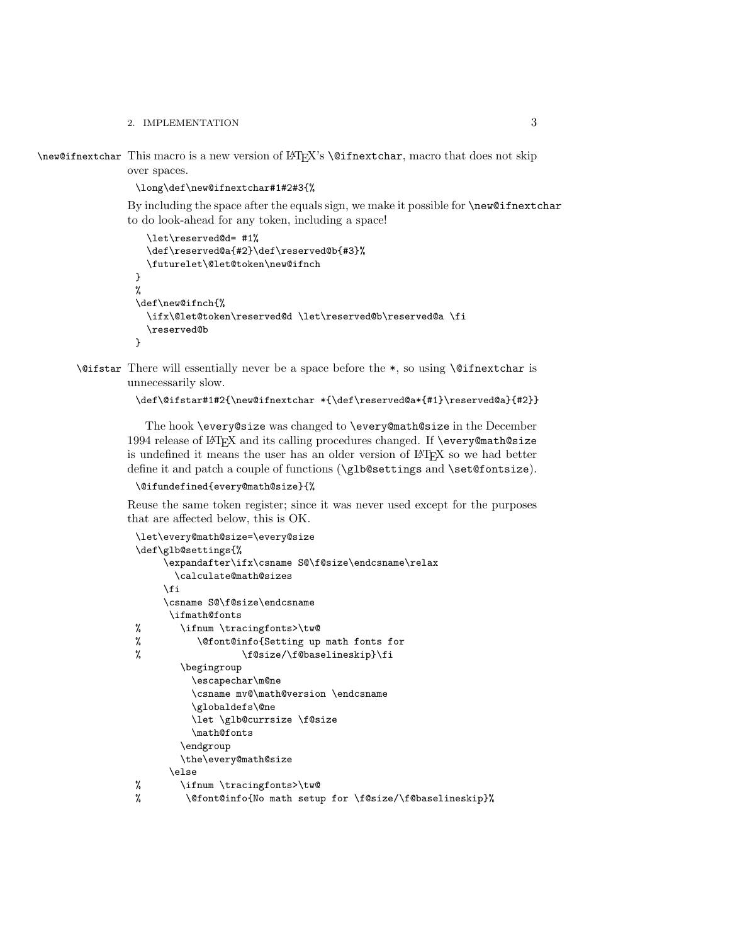#### 2. IMPLEMENTATION 3

\new@ifnextchar This macro is a new version of LATEX's \@ifnextchar, macro that does not skip over spaces.

\long\def\new@ifnextchar#1#2#3{%

By including the space after the equals sign, we make it possible for \new@ifnextchar to do look-ahead for any token, including a space!

```
\let\reserved@d= #1%
  \def\reserved@a{#2}\def\reserved@b{#3}%
  \futurelet\@let@token\new@ifnch
}
%
\def\new@ifnch{%
  \ifx\@let@token\reserved@d \let\reserved@b\reserved@a \fi
  \reserved@b
}
```
\@ifstar There will essentially never be a space before the \*, so using \@ifnextchar is unnecessarily slow.

```
\def\@ifstar#1#2{\new@ifnextchar *{\def\reserved@a*{#1}\reserved@a}{#2}}
```
The hook \every@size was changed to \every@math@size in the December 1994 release of LATEX and its calling procedures changed. If \every@math@size is undefined it means the user has an older version of LATEX so we had better define it and patch a couple of functions (\glb@settings and \set@fontsize).

```
\@ifundefined{every@math@size}{%
```
Reuse the same token register; since it was never used except for the purposes that are affected below, this is OK.

```
\let\every@math@size=\every@size
\def\glb@settings{%
     \expandafter\ifx\csname S@\f@size\endcsname\relax
      \calculate@math@sizes
    \fi
    \csname S@\f@size\endcsname
     \ifmath@fonts
% \ifnum \tracingfonts>\tw@
% \@font@info{Setting up math fonts for
% \f@size/\f@baselineskip}\fi
       \begingroup
         \escapechar\m@ne
         \csname mv@\math@version \endcsname
         \globaldefs\@ne
         \let \glb@currsize \f@size
         \math@fonts
       \endgroup
       \the\every@math@size
     \else
% \ifnum \tracingfonts>\tw@
% \@font@info{No math setup for \f@size/\f@baselineskip}%
```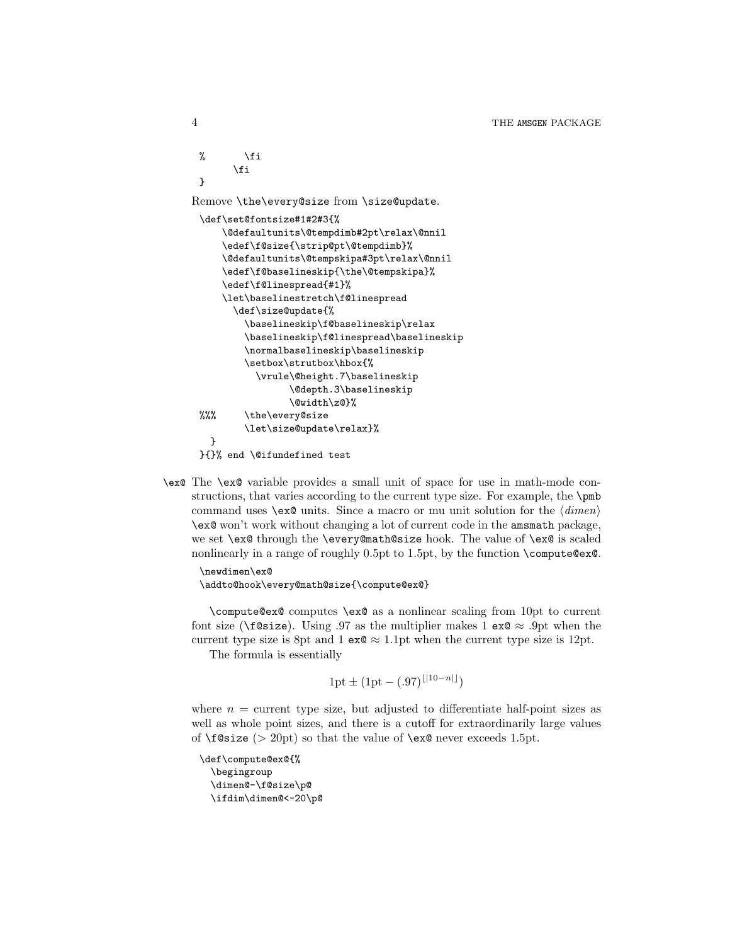```
\sqrt[6]{ } \fi
       \fi
 }
Remove \the\every@size from \size@update.
 \def\set@fontsize#1#2#3{%
     \@defaultunits\@tempdimb#2pt\relax\@nnil
     \edef\f@size{\strip@pt\@tempdimb}%
     \@defaultunits\@tempskipa#3pt\relax\@nnil
     \edef\f@baselineskip{\the\@tempskipa}%
     \edef\f@linespread{#1}%
     \let\baselinestretch\f@linespread
       \def\size@update{%
         \baselineskip\f@baselineskip\relax
         \baselineskip\f@linespread\baselineskip
         \normalbaselineskip\baselineskip
         \setbox\strutbox\hbox{%
           \vrule\@height.7\baselineskip
                 \@depth.3\baselineskip
                 \@width\z@}%
 %%% \the\every@size
         \let\size@update\relax}%
   }
 }{}% end \@ifundefined test
```
\ex@ The \ex@ variable provides a small unit of space for use in math-mode constructions, that varies according to the current type size. For example, the \pmb command uses  $\text{ex@ units. Since a macro or mu unit solution for the } \langle \text{dimen} \rangle$ \ex@ won't work without changing a lot of current code in the amsmath package, we set \ex@ through the \every@math@size hook. The value of \ex@ is scaled nonlinearly in a range of roughly 0.5pt to 1.5pt, by the function  $\{\text{compute@ex@}.$ 

```
\newdimen\ex@
\addto@hook\every@math@size{\compute@ex@}
```
\compute@ex@ computes \ex@ as a nonlinear scaling from 10pt to current font size ( $\text{if}$ @size). Using .97 as the multiplier makes 1 ex@  $\approx$  .9pt when the current type size is 8pt and 1  $ex@ \approx 1.1$  pt when the current type size is 12pt.

The formula is essentially

 $1pt \pm (1pt - (.97)^{\lfloor |10-n|\rfloor})$ 

where  $n =$  current type size, but adjusted to differentiate half-point sizes as well as whole point sizes, and there is a cutoff for extraordinarily large values of  $f$ @size (> 20pt) so that the value of  $\exc$  never exceeds 1.5pt.

```
\def\compute@ex@{%
 \begingroup
 \dimen@-\f@size\p@
 \ifdim\dimen@<-20\p@
```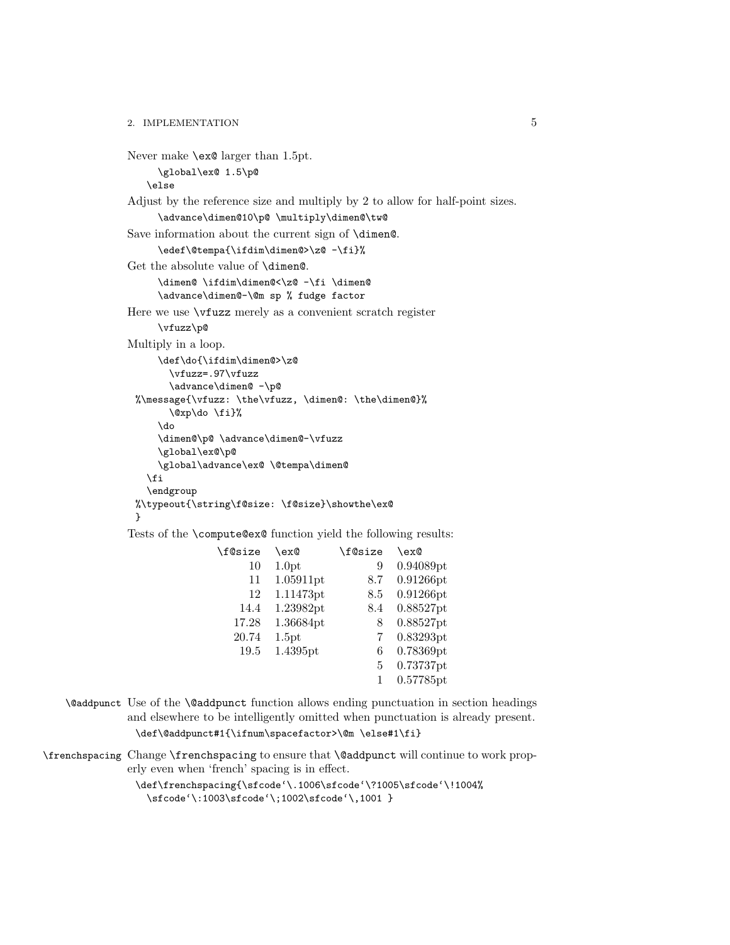2. IMPLEMENTATION 5

```
Never make \ex@ larger than 1.5pt.
     \global\ex@ 1.5\p@
   \else
Adjust by the reference size and multiply by 2 to allow for half-point sizes.
     \advance\dimen@10\p@ \multiply\dimen@\tw@
Save information about the current sign of \dimen@.
     \edef\@tempa{\ifdim\dimen@>\z@ -\fi}%
Get the absolute value of \dimen@.
     \dimen@ \ifdim\dimen@<\z@ -\fi \dimen@
     \advance\dimen@-\@m sp % fudge factor
Here we use \vfuzz merely as a convenient scratch register
     \vfuzz\p@
Multiply in a loop.
     \def\do{\ifdim\dimen@>\z@
       \vfuzz=.97\vfuzz
       \advance\dimen@ -\p@
 %\message{\vfuzz: \the\vfuzz, \dimen@: \the\dimen@}%
       \@xp\do \fi}%
     \do
     \dimen@\p@ \advance\dimen@-\vfuzz
     \global\ex@\p@
     \global\advance\ex@ \@tempa\dimen@
   \fi
   \endgroup
 %\typeout{\string\f@size: \f@size}\showthe\ex@
 }
Tests of the \compute@ex@ function yield the following results:
               \f@size \ex@ \frac{8}{10} \f@size \ex@ 10 1.0pt 9 0.940
                                          9 0.94089pt
                     11 1.05911pt 8.7 0.91266pt
                     12 1.11473pt 8.5 0.91266pt
                   14.4 1.23982pt 8.4 0.88527pt
                  17.28 1.36684pt 8 0.88527pt
                  20.74 1.5pt 7 0.83293pt
                   19.5 1.4395pt 6 0.78369pt
                                           5 0.73737pt
                                            1 0.57785pt
```
- \@addpunct Use of the \@addpunct function allows ending punctuation in section headings and elsewhere to be intelligently omitted when punctuation is already present. \def\@addpunct#1{\ifnum\spacefactor>\@m \else#1\fi}
- \frenchspacing Change \frenchspacing to ensure that \@addpunct will continue to work properly even when 'french' spacing is in effect.

\def\frenchspacing{\sfcode'\.1006\sfcode'\?1005\sfcode'\!1004% \sfcode'\:1003\sfcode'\;1002\sfcode'\,1001 }